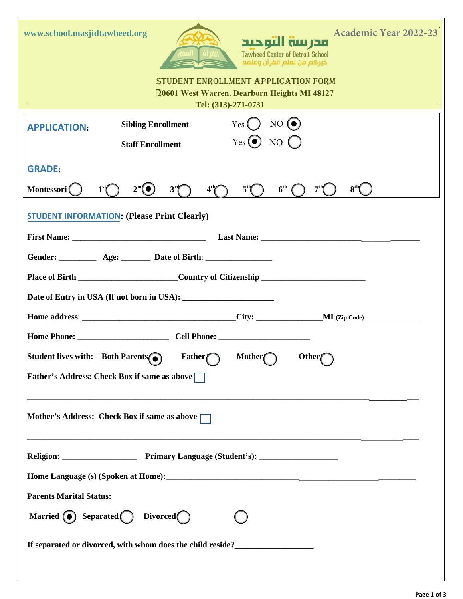| <b>Academic Year 2022-23</b><br>www.school.masjidtawheed.org<br>مدرسة التوحيد<br><b>Tawheed Center of Detroit School</b><br>خيركم من تعلم القرآن وعلمه<br>STUDENT ENROLLMENT APPLICATION FORM<br>20601 West Warren. Dearborn Heights MI 48127<br>Tel: (313)-271-0731 |  |  |  |
|----------------------------------------------------------------------------------------------------------------------------------------------------------------------------------------------------------------------------------------------------------------------|--|--|--|
| Yes () NO $\odot$<br><b>Sibling Enrollment</b><br><b>APPLICATION:</b>                                                                                                                                                                                                |  |  |  |
| $Yes($ $) NO()$<br><b>Staff Enrollment</b>                                                                                                                                                                                                                           |  |  |  |
| <b>GRADE:</b><br>$4th$ $5th$<br>6 <sup>th</sup><br>7 <sup>th</sup><br>8 <sup>th</sup><br>1 <sup>st</sup><br>2 <sup>nd</sup><br>3 <sup>r</sup><br>Montessori (                                                                                                        |  |  |  |
| <b>STUDENT INFORMATION: (Please Print Clearly)</b>                                                                                                                                                                                                                   |  |  |  |
|                                                                                                                                                                                                                                                                      |  |  |  |
|                                                                                                                                                                                                                                                                      |  |  |  |
|                                                                                                                                                                                                                                                                      |  |  |  |
|                                                                                                                                                                                                                                                                      |  |  |  |
|                                                                                                                                                                                                                                                                      |  |  |  |
|                                                                                                                                                                                                                                                                      |  |  |  |
| Student lives with: Both Parents<br>$\sqrt{1 - \frac{1}{2}}$ Father Mother Mother                                                                                                                                                                                    |  |  |  |
| <b>Father's Address: Check Box if same as above</b>                                                                                                                                                                                                                  |  |  |  |
| Mother's Address: Check Box if same as above                                                                                                                                                                                                                         |  |  |  |
|                                                                                                                                                                                                                                                                      |  |  |  |
|                                                                                                                                                                                                                                                                      |  |  |  |
| <b>Parents Marital Status:</b>                                                                                                                                                                                                                                       |  |  |  |
| Married $\bigodot$ Separated Divorced                                                                                                                                                                                                                                |  |  |  |
| If separated or divorced, with whom does the child reside?<br><u>Letting</u> and the separated or divorced, with whom does the child reside?<br><u>Letting and the separated or divorced</u> , with whom does the child reside?                                      |  |  |  |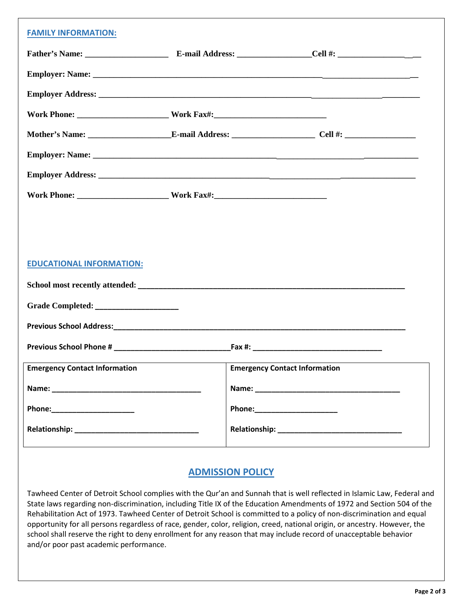| <b>FAMILY INFORMATION:</b>           |  |                                      |  |  |
|--------------------------------------|--|--------------------------------------|--|--|
|                                      |  |                                      |  |  |
|                                      |  |                                      |  |  |
|                                      |  |                                      |  |  |
|                                      |  |                                      |  |  |
|                                      |  |                                      |  |  |
|                                      |  |                                      |  |  |
|                                      |  |                                      |  |  |
|                                      |  |                                      |  |  |
|                                      |  |                                      |  |  |
|                                      |  |                                      |  |  |
| <b>EDUCATIONAL INFORMATION:</b>      |  |                                      |  |  |
|                                      |  |                                      |  |  |
|                                      |  |                                      |  |  |
|                                      |  |                                      |  |  |
|                                      |  |                                      |  |  |
| <b>Emergency Contact Information</b> |  | <b>Emergency Contact Information</b> |  |  |
|                                      |  |                                      |  |  |
| Phone:_______________________        |  |                                      |  |  |
|                                      |  |                                      |  |  |
|                                      |  |                                      |  |  |

## **ADMISSION POLICY**

Tawheed Center of Detroit School complies with the Qur'an and Sunnah that is well reflected in Islamic Law, Federal and State laws regarding non-discrimination, including Title IX of the Education Amendments of 1972 and Section 504 of the Rehabilitation Act of 1973. Tawheed Center of Detroit School is committed to a policy of non-discrimination and equal opportunity for all persons regardless of race, gender, color, religion, creed, national origin, or ancestry. However, the school shall reserve the right to deny enrollment for any reason that may include record of unacceptable behavior and/or poor past academic performance.